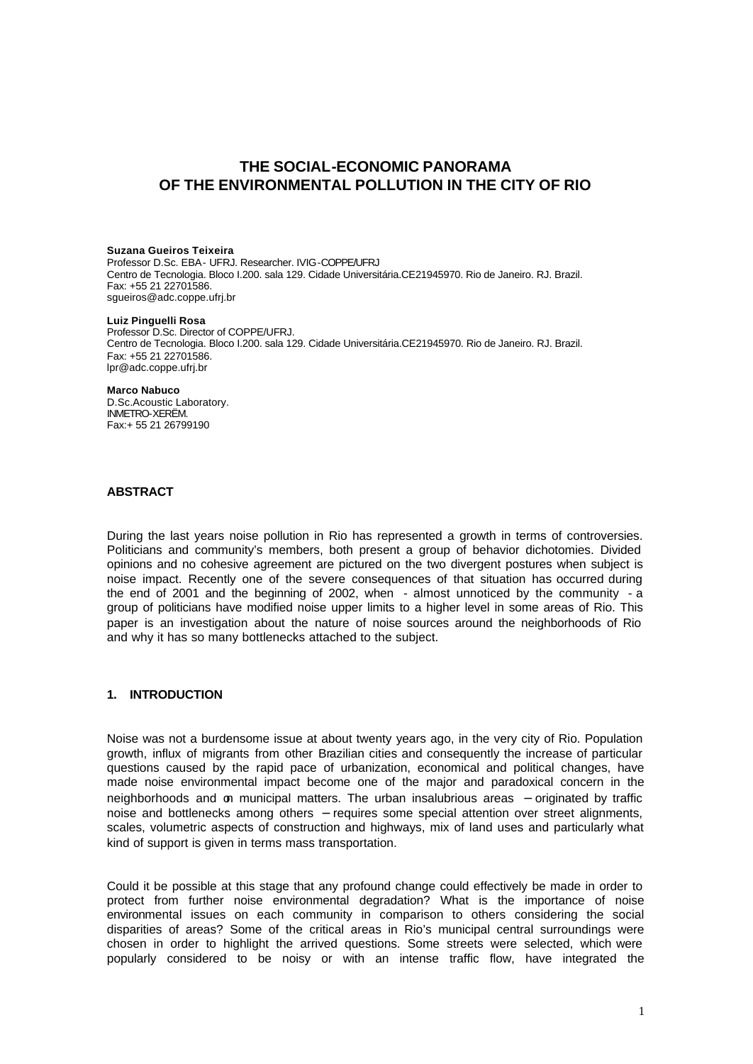# **THE SOCIAL-ECONOMIC PANORAMA OF THE ENVIRONMENTAL POLLUTION IN THE CITY OF RIO**

#### **Suzana Gueiros Teixeira**

Professor D.Sc. EBA- UFRJ. Researcher. IVIG-COPPE/UFRJ Centro de Tecnologia. Bloco I.200. sala 129. Cidade Universitária.CE21945970. Rio de Janeiro. RJ. Brazil. Fax: +55 21 22701586. sgueiros@adc.coppe.ufrj.br

#### **Luiz Pinguelli Rosa**

Professor D.Sc. Director of COPPE/UFRJ. Centro de Tecnologia. Bloco I.200. sala 129. Cidade Universitária.CE21945970. Rio de Janeiro. RJ. Brazil. Fax: +55 21 22701586. lpr@adc.coppe.ufrj.br

#### **Marco Nabuco**

D.Sc.Acoustic Laboratory. INMETRO-XERËM. Fax:+ 55 21 26799190

## **ABSTRACT**

During the last years noise pollution in Rio has represented a growth in terms of controversies. Politicians and community's members, both present a group of behavior dichotomies. Divided opinions and no cohesive agreement are pictured on the two divergent postures when subject is noise impact. Recently one of the severe consequences of that situation has occurred during the end of 2001 and the beginning of 2002, when - almost unnoticed by the community - a group of politicians have modified noise upper limits to a higher level in some areas of Rio. This paper is an investigation about the nature of noise sources around the neighborhoods of Rio and why it has so many bottlenecks attached to the subject.

### **1. INTRODUCTION**

Noise was not a burdensome issue at about twenty years ago, in the very city of Rio. Population growth, influx of migrants from other Brazilian cities and consequently the increase of particular questions caused by the rapid pace of urbanization, economical and political changes, have made noise environmental impact become one of the major and paradoxical concern in the neighborhoods and on municipal matters. The urban insalubrious areas – originated by traffic noise and bottlenecks among others – requires some special attention over street alignments, scales, volumetric aspects of construction and highways, mix of land uses and particularly what kind of support is given in terms mass transportation.

Could it be possible at this stage that any profound change could effectively be made in order to protect from further noise environmental degradation? What is the importance of noise environmental issues on each community in comparison to others considering the social disparities of areas? Some of the critical areas in Rio's municipal central surroundings were chosen in order to highlight the arrived questions. Some streets were selected, which were popularly considered to be noisy or with an intense traffic flow, have integrated the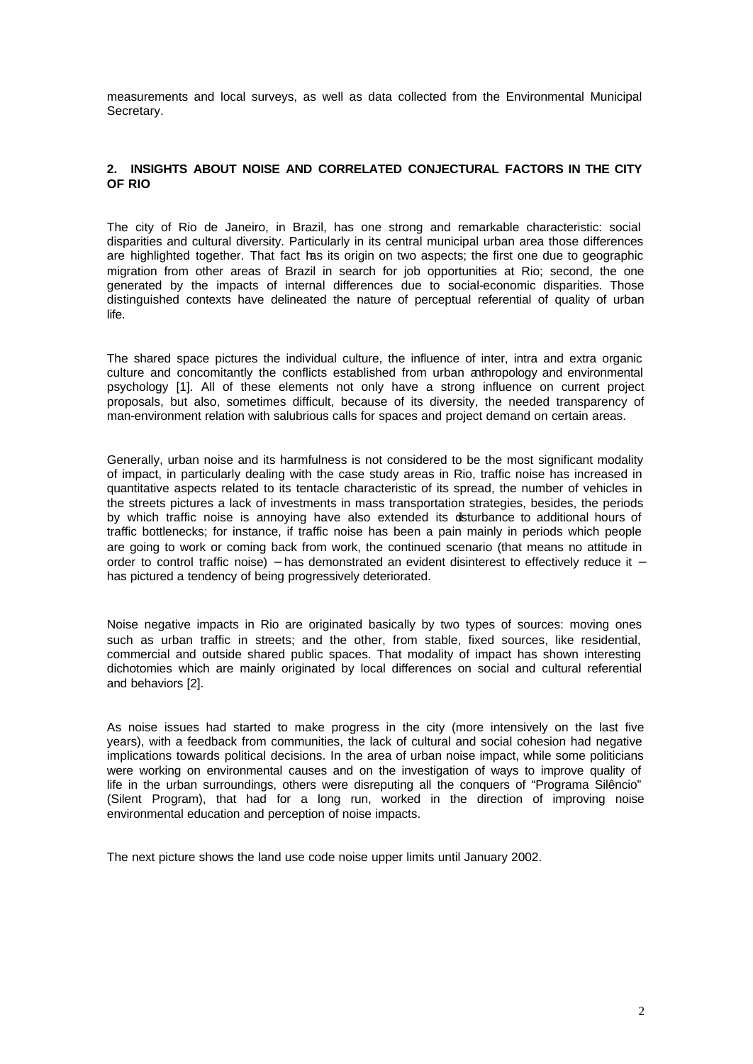measurements and local surveys, as well as data collected from the Environmental Municipal Secretary.

# **2. INSIGHTS ABOUT NOISE AND CORRELATED CONJECTURAL FACTORS IN THE CITY OF RIO**

The city of Rio de Janeiro, in Brazil, has one strong and remarkable characteristic: social disparities and cultural diversity. Particularly in its central municipal urban area those differences are highlighted together. That fact has its origin on two aspects; the first one due to geographic migration from other areas of Brazil in search for job opportunities at Rio; second, the one generated by the impacts of internal differences due to social-economic disparities. Those distinguished contexts have delineated the nature of perceptual referential of quality of urban life.

The shared space pictures the individual culture, the influence of inter, intra and extra organic culture and concomitantly the conflicts established from urban anthropology and environmental psychology [1]. All of these elements not only have a strong influence on current project proposals, but also, sometimes difficult, because of its diversity, the needed transparency of man-environment relation with salubrious calls for spaces and project demand on certain areas.

Generally, urban noise and its harmfulness is not considered to be the most significant modality of impact, in particularly dealing with the case study areas in Rio, traffic noise has increased in quantitative aspects related to its tentacle characteristic of its spread, the number of vehicles in the streets pictures a lack of investments in mass transportation strategies, besides, the periods by which traffic noise is annoying have also extended its disturbance to additional hours of traffic bottlenecks; for instance, if traffic noise has been a pain mainly in periods which people are going to work or coming back from work, the continued scenario (that means no attitude in order to control traffic noise) – has demonstrated an evident disinterest to effectively reduce it – has pictured a tendency of being progressively deteriorated.

Noise negative impacts in Rio are originated basically by two types of sources: moving ones such as urban traffic in streets; and the other, from stable, fixed sources, like residential, commercial and outside shared public spaces. That modality of impact has shown interesting dichotomies which are mainly originated by local differences on social and cultural referential and behaviors [2].

As noise issues had started to make progress in the city (more intensively on the last five years), with a feedback from communities, the lack of cultural and social cohesion had negative implications towards political decisions. In the area of urban noise impact, while some politicians were working on environmental causes and on the investigation of ways to improve quality of life in the urban surroundings, others were disreputing all the conquers of "Programa Silêncio" (Silent Program), that had for a long run, worked in the direction of improving noise environmental education and perception of noise impacts.

The next picture shows the land use code noise upper limits until January 2002.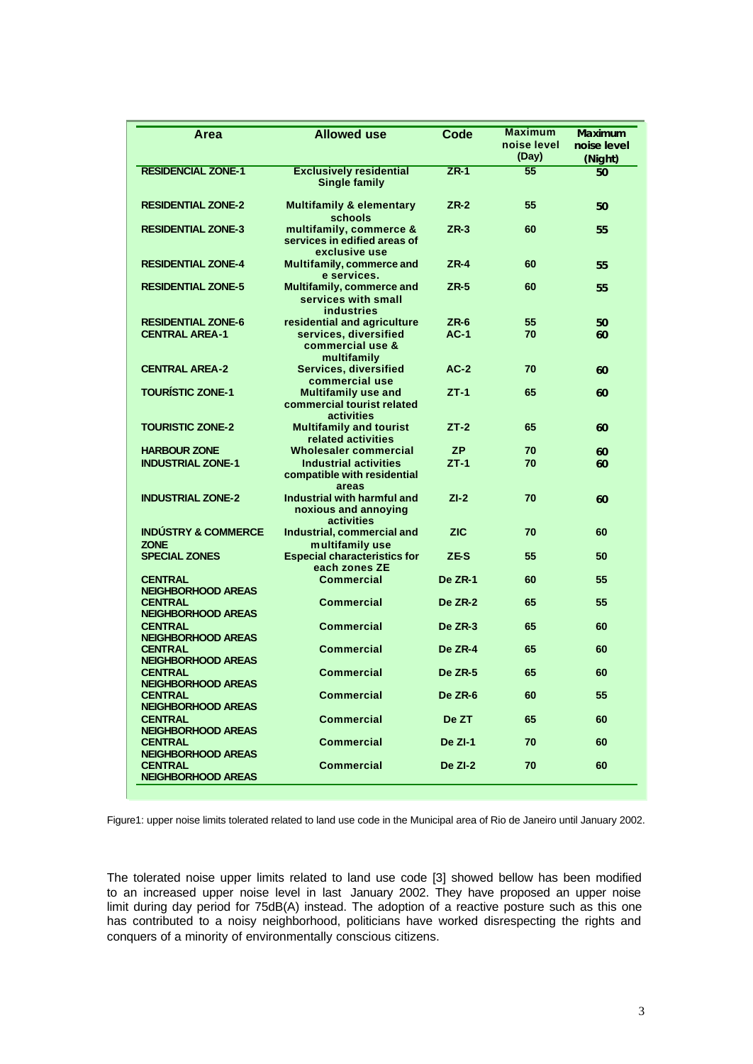| <b>RESIDENCIAL ZONE-1</b><br>55<br><b>Exclusively residential</b><br>$ZR-1$<br><b>Single family</b>                   | (Night)<br>50 |
|-----------------------------------------------------------------------------------------------------------------------|---------------|
|                                                                                                                       |               |
| <b>RESIDENTIAL ZONE-2</b><br><b>Multifamily &amp; elementary</b><br>$ZR-2$<br>55<br>schools                           | 50            |
| <b>RESIDENTIAL ZONE-3</b><br>multifamily, commerce &<br>$ZR-3$<br>60<br>services in edified areas of<br>exclusive use | 55            |
| <b>RESIDENTIAL ZONE-4</b><br>$ZR-4$<br>Multifamily, commerce and<br>60<br>e services.                                 | 55            |
| <b>RESIDENTIAL ZONE-5</b><br>Multifamily, commerce and<br>$ZR-5$<br>60<br>services with small<br><b>industries</b>    | 55            |
| <b>RESIDENTIAL ZONE-6</b><br>residential and agriculture<br>$ZR-6$<br>55                                              | 50            |
| <b>CENTRAL AREA-1</b><br>services, diversified<br>$AC-1$<br>70<br>commercial use &<br>multifamily                     | 60            |
| <b>Services, diversified</b><br>$AC-2$<br><b>CENTRAL AREA-2</b><br>70<br>commercial use                               | 60            |
| <b>TOURÍSTIC ZONE-1</b><br><b>Multifamily use and</b><br>$ZT-1$<br>65<br>commercial tourist related<br>activities     | 60            |
| <b>TOURISTIC ZONE-2</b><br>$ZT-2$<br>65<br><b>Multifamily and tourist</b><br>related activities                       | 60            |
| <b>Wholesaler commercial</b><br><b>HARBOUR ZONE</b><br><b>ZP</b><br>70                                                | 60            |
| <b>INDUSTRIAL ZONE-1</b><br><b>Industrial activities</b><br>$ZT-1$<br>70<br>compatible with residential<br>areas      | 60            |
| Industrial with harmful and<br>$ZI-2$<br><b>INDUSTRIAL ZONE-2</b><br>70<br>noxious and annoying<br>activities         | 60            |
| <b>INDÚSTRY &amp; COMMERCE</b><br>Industrial, commercial and<br><b>ZIC</b><br>70<br><b>ZONE</b><br>multifamily use    | 60            |
| <b>SPECIAL ZONES</b><br><b>Especial characteristics for</b><br>ZE-S<br>55<br>each zones ZE                            | 50            |
| <b>CENTRAL</b><br><b>Commercial</b><br><b>De ZR-1</b><br>60<br><b>NEIGHBORHOOD AREAS</b>                              | 55            |
| <b>CENTRAL</b><br><b>Commercial</b><br><b>De ZR-2</b><br>65<br><b>NEIGHBORHOOD AREAS</b>                              | 55            |
| <b>CENTRAL</b><br><b>Commercial</b><br>De ZR-3<br>65<br><b>NEIGHBORHOOD AREAS</b>                                     | 60            |
| <b>Commercial</b><br><b>De ZR-4</b><br><b>CENTRAL</b><br>65<br><b>NEIGHBORHOOD AREAS</b>                              | 60            |
| <b>CENTRAL</b><br><b>Commercial</b><br><b>De ZR-5</b><br>65<br>NEIGHBORHOOD AREAS                                     | 60            |
| <b>Commercial</b><br><b>CENTRAL</b><br>De ZR-6<br>60<br><b>NEIGHBORHOOD AREAS</b>                                     | 55            |
| <b>Commercial</b><br>De ZT<br><b>CENTRAL</b><br>65<br><b>NEIGHBORHOOD AREAS</b>                                       | 60            |
| <b>Commercial</b><br>De ZI-1<br>70<br>CENTRAL                                                                         | 60            |
| <b>NEIGHBORHOOD AREAS</b><br><b>Commercial</b><br><b>CENTRAL</b><br>De ZI-2<br>70<br><b>NEIGHBORHOOD AREAS</b>        | 60            |

Figure1: upper noise limits tolerated related to land use code in the Municipal area of Rio de Janeiro until January 2002.

The tolerated noise upper limits related to land use code [3] showed bellow has been modified to an increased upper noise level in last January 2002. They have proposed an upper noise limit during day period for 75dB(A) instead. The adoption of a reactive posture such as this one has contributed to a noisy neighborhood, politicians have worked disrespecting the rights and conquers of a minority of environmentally conscious citizens.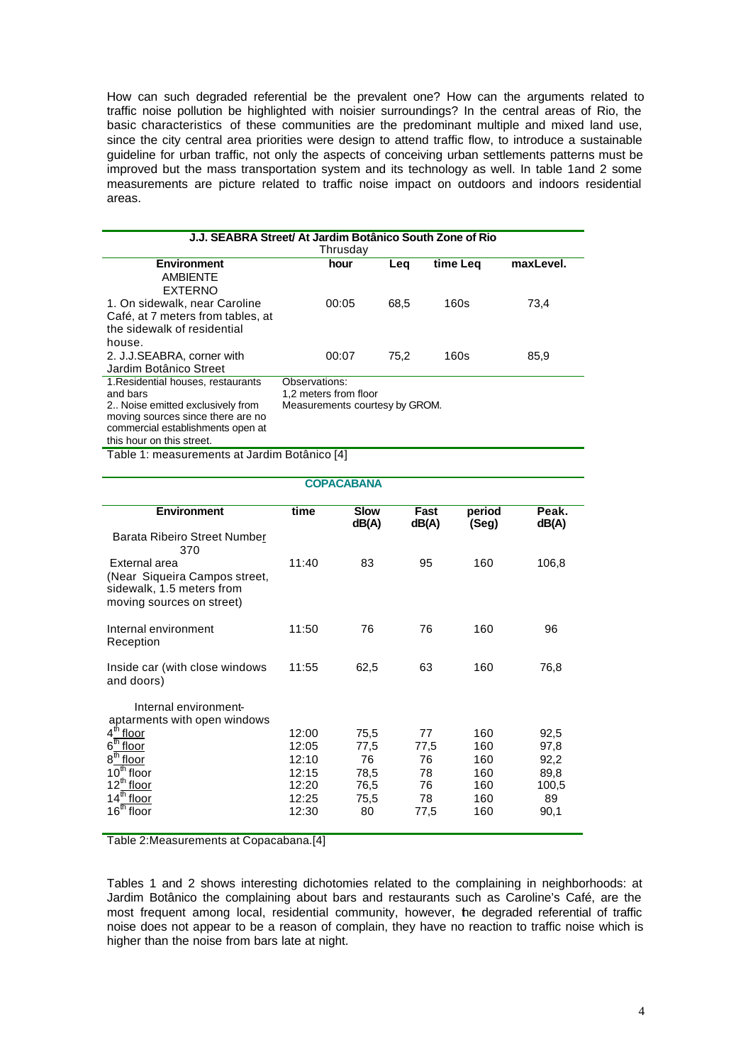How can such degraded referential be the prevalent one? How can the arguments related to traffic noise pollution be highlighted with noisier surroundings? In the central areas of Rio, the basic characteristics of these communities are the predominant multiple and mixed land use, since the city central area priorities were design to attend traffic flow, to introduce a sustainable guideline for urban traffic, not only the aspects of conceiving urban settlements patterns must be improved but the mass transportation system and its technology as well. In table 1and 2 some measurements are picture related to traffic noise impact on outdoors and indoors residential areas.

| J.J. SEABRA Street/ At Jardim Botânico South Zone of Rio |                                |      |          |           |  |  |  |  |  |
|----------------------------------------------------------|--------------------------------|------|----------|-----------|--|--|--|--|--|
| Thrusday                                                 |                                |      |          |           |  |  |  |  |  |
| <b>Environment</b>                                       | hour                           | Leg  | time Leg | maxLevel. |  |  |  |  |  |
| <b>AMBIFNTF</b>                                          |                                |      |          |           |  |  |  |  |  |
| <b>EXTERNO</b>                                           |                                |      |          |           |  |  |  |  |  |
| 1. On sidewalk, near Caroline                            | 00:05                          | 68.5 | 160s     | 73.4      |  |  |  |  |  |
| Café, at 7 meters from tables, at                        |                                |      |          |           |  |  |  |  |  |
| the sidewalk of residential                              |                                |      |          |           |  |  |  |  |  |
| house.                                                   |                                |      |          |           |  |  |  |  |  |
| 2. J.J.SEABRA, corner with                               | 00:07                          | 75.2 | 160s     | 85,9      |  |  |  |  |  |
| Jardim Botânico Street                                   |                                |      |          |           |  |  |  |  |  |
| 1. Residential houses, restaurants                       | Observations:                  |      |          |           |  |  |  |  |  |
| and bars                                                 | 1.2 meters from floor          |      |          |           |  |  |  |  |  |
| 2 Noise emitted exclusively from                         | Measurements courtesy by GROM. |      |          |           |  |  |  |  |  |
| moving sources since there are no                        |                                |      |          |           |  |  |  |  |  |
| commercial establishments open at                        |                                |      |          |           |  |  |  |  |  |
| this hour on this street.                                |                                |      |          |           |  |  |  |  |  |

Table 1: measurements at Jardim Botânico [4]

| <b>COPACABANA</b>                                                                       |       |       |       |       |       |  |  |  |  |
|-----------------------------------------------------------------------------------------|-------|-------|-------|-------|-------|--|--|--|--|
| <b>Environment</b><br>time<br><b>Slow</b><br>period<br>Fast<br>Peak.                    |       |       |       |       |       |  |  |  |  |
|                                                                                         |       | dB(A) | dB(A) | (Seg) | dB(A) |  |  |  |  |
| Barata Ribeiro Street Number<br>370                                                     |       |       |       |       |       |  |  |  |  |
| External area                                                                           | 11:40 | 83    | 95    | 160   | 106,8 |  |  |  |  |
| (Near Siqueira Campos street,<br>sidewalk, 1.5 meters from<br>moving sources on street) |       |       |       |       |       |  |  |  |  |
| Internal environment                                                                    | 11:50 | 76    | 76    | 160   | 96    |  |  |  |  |
| Reception                                                                               |       |       |       |       |       |  |  |  |  |
| Inside car (with close windows)<br>and doors)                                           | 11:55 | 62,5  | 63    | 160   | 76,8  |  |  |  |  |
| Internal environment-                                                                   |       |       |       |       |       |  |  |  |  |
| aptarments with open windows                                                            |       |       |       |       |       |  |  |  |  |
| 4 <sup>th</sup> floor                                                                   | 12:00 | 75,5  | 77    | 160   | 92,5  |  |  |  |  |
| $6^{\sf th}$<br>floor                                                                   | 12:05 | 77,5  | 77,5  | 160   | 97,8  |  |  |  |  |
| 8 <sup>th</sup> floor                                                                   | 12:10 | 76    | 76    | 160   | 92,2  |  |  |  |  |
| $10^{th}$ floor                                                                         | 12:15 | 78,5  | 78    | 160   | 89,8  |  |  |  |  |
| 12 <sup>th</sup> floor                                                                  | 12:20 | 76,5  | 76    | 160   | 100,5 |  |  |  |  |
| $14^{\overline{th}}$ floor                                                              | 12:25 | 75,5  | 78    | 160   | 89    |  |  |  |  |
| 16 $^{\text{th}}$ floor                                                                 | 12:30 | 80    | 77,5  | 160   | 90,1  |  |  |  |  |
|                                                                                         |       |       |       |       |       |  |  |  |  |

Table 2:Measurements at Copacabana.[4]

Tables 1 and 2 shows interesting dichotomies related to the complaining in neighborhoods: at Jardim Botânico the complaining about bars and restaurants such as Caroline's Café, are the most frequent among local, residential community, however, the degraded referential of traffic noise does not appear to be a reason of complain, they have no reaction to traffic noise which is higher than the noise from bars late at night.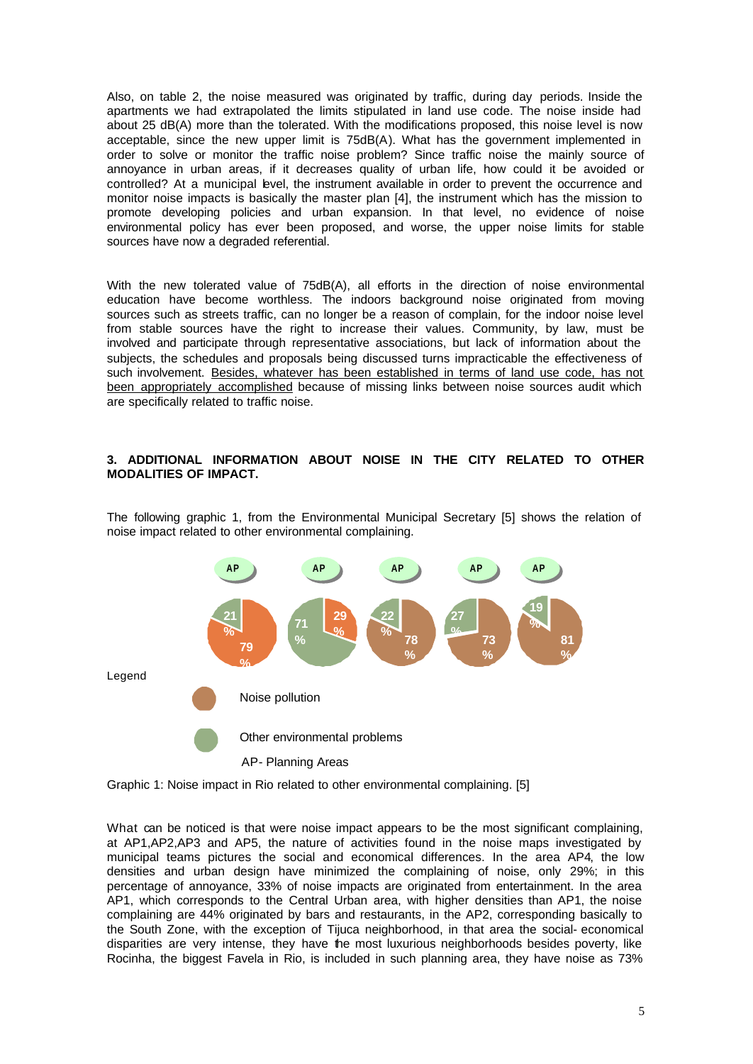Also, on table 2, the noise measured was originated by traffic, during day periods. Inside the apartments we had extrapolated the limits stipulated in land use code. The noise inside had about 25 dB(A) more than the tolerated. With the modifications proposed, this noise level is now acceptable, since the new upper limit is 75dB(A). What has the government implemented in order to solve or monitor the traffic noise problem? Since traffic noise the mainly source of annoyance in urban areas, if it decreases quality of urban life, how could it be avoided or controlled? At a municipal level, the instrument available in order to prevent the occurrence and monitor noise impacts is basically the master plan [4], the instrument which has the mission to promote developing policies and urban expansion. In that level, no evidence of noise environmental policy has ever been proposed, and worse, the upper noise limits for stable sources have now a degraded referential.

With the new tolerated value of 75dB(A), all efforts in the direction of noise environmental education have become worthless. The indoors background noise originated from moving sources such as streets traffic, can no longer be a reason of complain, for the indoor noise level from stable sources have the right to increase their values. Community, by law, must be involved and participate through representative associations, but lack of information about the subjects, the schedules and proposals being discussed turns impracticable the effectiveness of such involvement. Besides, whatever has been established in terms of land use code, has not been appropriately accomplished because of missing links between noise sources audit which are specifically related to traffic noise.

## **3. ADDITIONAL INFORMATION ABOUT NOISE IN THE CITY RELATED TO OTHER MODALITIES OF IMPACT.**

The following graphic 1, from the Environmental Municipal Secretary [5] shows the relation of noise impact related to other environmental complaining.



Graphic 1: Noise impact in Rio related to other environmental complaining. [5]

What can be noticed is that were noise impact appears to be the most significant complaining, at AP1,AP2,AP3 and AP5, the nature of activities found in the noise maps investigated by municipal teams pictures the social and economical differences. In the area AP4, the low densities and urban design have minimized the complaining of noise, only 29%; in this percentage of annoyance, 33% of noise impacts are originated from entertainment. In the area AP1, which corresponds to the Central Urban area, with higher densities than AP1, the noise complaining are 44% originated by bars and restaurants, in the AP2, corresponding basically to the South Zone, with the exception of Tijuca neighborhood, in that area the social- economical disparities are very intense, they have the most luxurious neighborhoods besides poverty, like Rocinha, the biggest Favela in Rio, is included in such planning area, they have noise as 73%